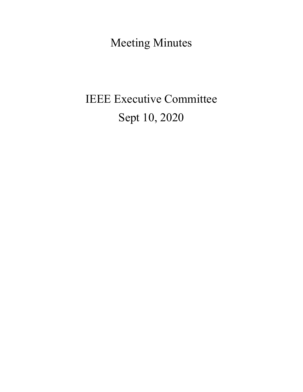Meeting Minutes

# IEEE Executive Committee Sept 10, 2020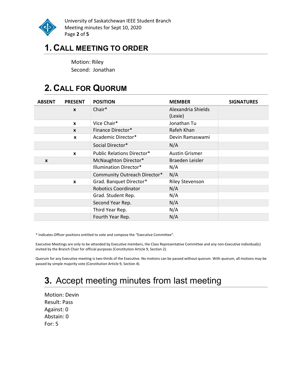

University of Saskatchewan IEEE Student Branch Meeting minutes for Sept 10, 2020 Page 2 of 5

## 1. CALL MEETING TO ORDER

Motion: Riley Second: Jonathan

# 2. CALL FOR QUORUM

| <b>ABSENT</b> | <b>PRESENT</b>   | <b>POSITION</b>                   | <b>MEMBER</b>          | <b>SIGNATURES</b> |
|---------------|------------------|-----------------------------------|------------------------|-------------------|
|               | $\mathbf{x}$     | Chair*                            | Alexandria Shields     |                   |
|               |                  |                                   | (Lexie)                |                   |
|               | $\mathbf{x}$     | Vice Chair*                       | Jonathan Tu            |                   |
|               | $\mathbf{x}$     | Finance Director*                 | Rafeh Khan             |                   |
|               | $\boldsymbol{x}$ | Academic Director*                | Devin Ramaswami        |                   |
|               |                  | Social Director*                  | N/A                    |                   |
|               | $\mathbf{x}$     | <b>Public Relations Director*</b> | <b>Austin Grismer</b>  |                   |
| X             |                  | McNaughton Director*              | Braeden Leisler        |                   |
|               |                  | <b>Illumination Director*</b>     | N/A                    |                   |
|               |                  | Community Outreach Director*      | N/A                    |                   |
|               | X                | Grad. Banquet Director*           | <b>Riley Stevenson</b> |                   |
|               |                  | <b>Robotics Coordinator</b>       | N/A                    |                   |
|               |                  | Grad. Student Rep.                | N/A                    |                   |
|               |                  | Second Year Rep.                  | N/A                    |                   |
|               |                  | Third Year Rep.                   | N/A                    |                   |
|               |                  | Fourth Year Rep.                  | N/A                    |                   |

\* Indicates Officer positions entitled to vote and compose the "Executive Committee".

Executive Meetings are only to be attended by Executive members, the Class Representative Committee and any non-Executive individual(s) invited by the Branch Chair for official purposes (Constitution Article 9, Section 2).

Quorum for any Executive meeting is two-thirds of the Executive. No motions can be passed without quorum. With quorum, all motions may be passed by simple majority vote (Constitution Article 9, Section 4).

# 3. Accept meeting minutes from last meeting

Motion: Devin Result: Pass Against: 0 Abstain: 0 For: 5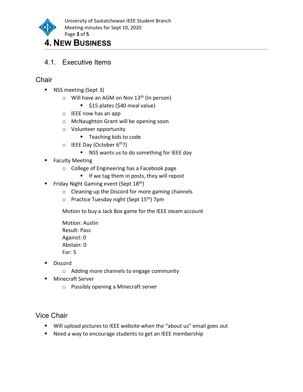

## 4. NEW BUSINESS

4.1. Executive Items

### **Chair**

- **NSS meeting (Sept 3)** 
	- $\circ$  Will have an AGM on Nov 13<sup>th</sup> (In person)
		- **515 plates (\$40 meal value)**
	- o IEEE now has an app
	- o McNaughton Grant will be opening soon
	- o Volunteer opportunity
		- Teaching kids to code
	- $\circ$  IEEE Day (October 6<sup>th</sup>?)
		- NSS wants us to do something for IEEE day
- **Faculty Meeting** 
	- o College of Engineering has a Facebook page
		- $\blacksquare$  If we tag them in posts, they will repost
- Friday Night Gaming event (Sept  $18^{th}$ )
	- o Cleaning up the Discord for more gaming channels
	- o Practice Tuesday night (Sept 15<sup>th</sup>) 7pm

Motion to buy a Jack Box game for the IEEE steam account

Motion: Austin Result: Pass Against: 0 Abstain: 0 For: 5

- **Discord** 
	- o Adding more channels to engage community
- Minecraft Server
	- o Possibly opening a Minecraft server

### Vice Chair

- Will upload pictures to IEEE website when the "about us" email goes out
- Need a way to encourage students to get an IEEE membership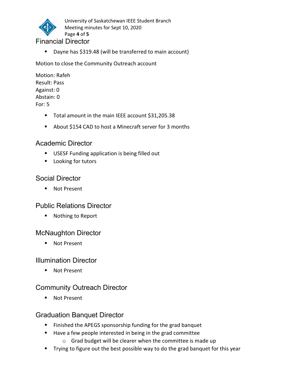

University of Saskatchewan IEEE Student Branch Meeting minutes for Sept 10, 2020 Page 4 of 5

#### Financial Director

■ Dayne has \$319.48 (will be transferred to main account)

Motion to close the Community Outreach account

Motion: Rafeh Result: Pass Against: 0 Abstain: 0 For: 5

- Total amount in the main IEEE account \$31,205.38
- About \$154 CAD to host a Minecraft server for 3 months

#### Academic Director

- **USESF Funding application is being filled out**
- **Looking for tutors**

#### Social Director

■ Not Present

#### Public Relations Director

■ Nothing to Report

#### McNaughton Director

■ Not Present

#### Illumination Director

■ Not Present

#### Community Outreach Director

■ Not Present

#### Graduation Banquet Director

- **Finished the APEGS sponsorship funding for the grad banquet**
- Have a few people interested in being in the grad committee
	- o Grad budget will be clearer when the committee is made up
- Trying to figure out the best possible way to do the grad banquet for this year